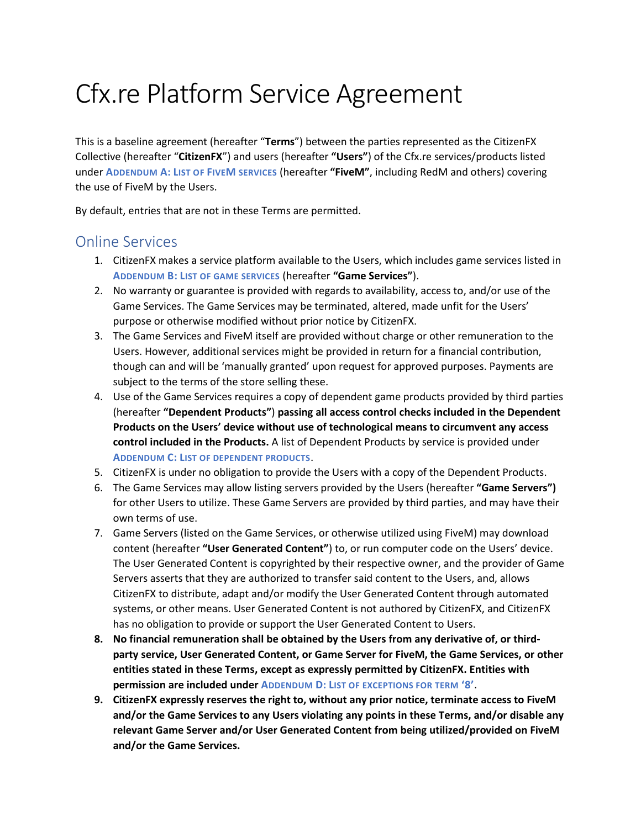# Cfx.re Platform Service Agreement

This is a baseline agreement (hereafter "**Terms**") between the parties represented as the CitizenFX Collective (hereafter "**CitizenFX**") and users (hereafter **"Users"**) of the Cfx.re services/products listed under **A[DDENDUM](#page-2-0) A: LIST OF FIVEM SERVICES** (hereafter **"FiveM"**, including RedM and others) covering the use of FiveM by the Users.

By default, entries that are not in these Terms are permitted.

#### Online Services

- 1. CitizenFX makes a service platform available to the Users, which includes game services listed in **ADDENDUM B: L[IST OF GAME SERVICES](#page-2-1)** (hereafter **"Game Services"**).
- 2. No warranty or guarantee is provided with regards to availability, access to, and/or use of the Game Services. The Game Services may be terminated, altered, made unfit for the Users' purpose or otherwise modified without prior notice by CitizenFX.
- 3. The Game Services and FiveM itself are provided without charge or other remuneration to the Users. However, additional services might be provided in return for a financial contribution, though can and will be 'manually granted' upon request for approved purposes. Payments are subject to the terms of the store selling these.
- 4. Use of the Game Services requires a copy of dependent game products provided by third parties (hereafter **"Dependent Products"**) **passing all access control checks included in the Dependent Products on the Users' device without use of technological means to circumvent any access control included in the Products.** A list of Dependent Products by service is provided under **ADDENDUM C: L[IST OF DEPENDENT PRODUCTS](#page-2-2)**.
- 5. CitizenFX is under no obligation to provide the Users with a copy of the Dependent Products.
- 6. The Game Services may allow listing servers provided by the Users (hereafter **"Game Servers")** for other Users to utilize. These Game Servers are provided by third parties, and may have their own terms of use.
- 7. Game Servers (listed on the Game Services, or otherwise utilized using FiveM) may download content (hereafter **"User Generated Content"**) to, or run computer code on the Users' device. The User Generated Content is copyrighted by their respective owner, and the provider of Game Servers asserts that they are authorized to transfer said content to the Users, and, allows CitizenFX to distribute, adapt and/or modify the User Generated Content through automated systems, or other means. User Generated Content is not authored by CitizenFX, and CitizenFX has no obligation to provide or support the User Generated Content to Users.
- **8. No financial remuneration shall be obtained by the Users from any derivative of, or thirdparty service, User Generated Content, or Game Server for FiveM, the Game Services, or other entities stated in these Terms, except as expressly permitted by CitizenFX. Entities with permission are included under ADDENDUM D: L[IST OF EXCEPTIONS FOR TERM](#page-3-0) '8'.**
- **9. CitizenFX expressly reserves the right to, without any prior notice, terminate access to FiveM and/or the Game Services to any Users violating any points in these Terms, and/or disable any relevant Game Server and/or User Generated Content from being utilized/provided on FiveM and/or the Game Services.**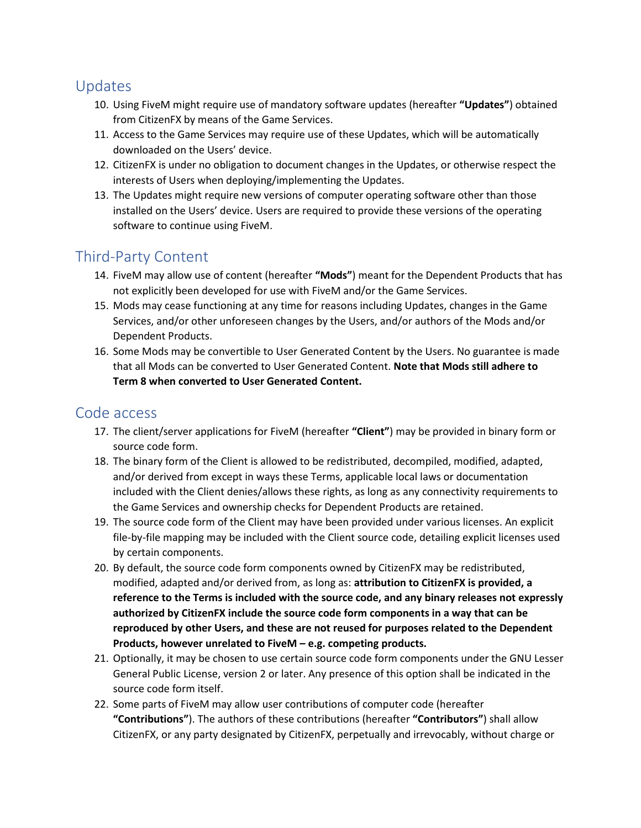### Updates

- 10. Using FiveM might require use of mandatory software updates (hereafter **"Updates"**) obtained from CitizenFX by means of the Game Services.
- 11. Access to the Game Services may require use of these Updates, which will be automatically downloaded on the Users' device.
- 12. CitizenFX is under no obligation to document changes in the Updates, or otherwise respect the interests of Users when deploying/implementing the Updates.
- 13. The Updates might require new versions of computer operating software other than those installed on the Users' device. Users are required to provide these versions of the operating software to continue using FiveM.

## Third-Party Content

- 14. FiveM may allow use of content (hereafter **"Mods"**) meant for the Dependent Products that has not explicitly been developed for use with FiveM and/or the Game Services.
- 15. Mods may cease functioning at any time for reasons including Updates, changes in the Game Services, and/or other unforeseen changes by the Users, and/or authors of the Mods and/or Dependent Products.
- 16. Some Mods may be convertible to User Generated Content by the Users. No guarantee is made that all Mods can be converted to User Generated Content. **Note that Mods still adhere to Term 8 when converted to User Generated Content.**

#### Code access

- 17. The client/server applications for FiveM (hereafter **"Client"**) may be provided in binary form or source code form.
- 18. The binary form of the Client is allowed to be redistributed, decompiled, modified, adapted, and/or derived from except in ways these Terms, applicable local laws or documentation included with the Client denies/allows these rights, as long as any connectivity requirements to the Game Services and ownership checks for Dependent Products are retained.
- 19. The source code form of the Client may have been provided under various licenses. An explicit file-by-file mapping may be included with the Client source code, detailing explicit licenses used by certain components.
- 20. By default, the source code form components owned by CitizenFX may be redistributed, modified, adapted and/or derived from, as long as: **attribution to CitizenFX is provided, a reference to the Terms is included with the source code, and any binary releases not expressly authorized by CitizenFX include the source code form components in a way that can be reproduced by other Users, and these are not reused for purposes related to the Dependent Products, however unrelated to FiveM – e.g. competing products.**
- 21. Optionally, it may be chosen to use certain source code form components under the GNU Lesser General Public License, version 2 or later. Any presence of this option shall be indicated in the source code form itself.
- 22. Some parts of FiveM may allow user contributions of computer code (hereafter **"Contributions"**). The authors of these contributions (hereafter **"Contributors"**) shall allow CitizenFX, or any party designated by CitizenFX, perpetually and irrevocably, without charge or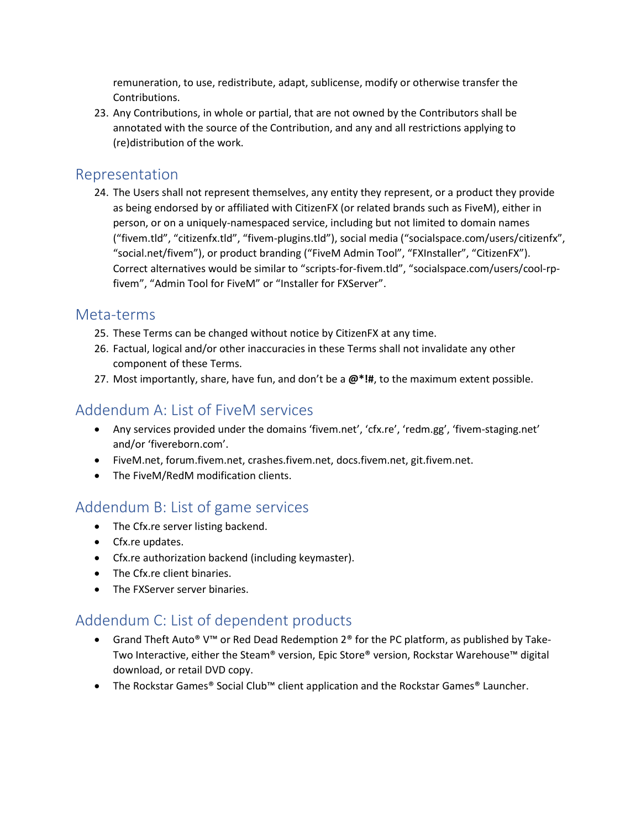remuneration, to use, redistribute, adapt, sublicense, modify or otherwise transfer the Contributions.

23. Any Contributions, in whole or partial, that are not owned by the Contributors shall be annotated with the source of the Contribution, and any and all restrictions applying to (re)distribution of the work.

#### Representation

24. The Users shall not represent themselves, any entity they represent, or a product they provide as being endorsed by or affiliated with CitizenFX (or related brands such as FiveM), either in person, or on a uniquely-namespaced service, including but not limited to domain names ("fivem.tld", "citizenfx.tld", "fivem-plugins.tld"), social media ("socialspace.com/users/citizenfx", "social.net/fivem"), or product branding ("FiveM Admin Tool", "FXInstaller", "CitizenFX"). Correct alternatives would be similar to "scripts-for-fivem.tld", "socialspace.com/users/cool-rpfivem", "Admin Tool for FiveM" or "Installer for FXServer".

#### Meta-terms

- 25. These Terms can be changed without notice by CitizenFX at any time.
- 26. Factual, logical and/or other inaccuracies in these Terms shall not invalidate any other component of these Terms.
- 27. Most importantly, share, have fun, and don't be a **@\*!#**, to the maximum extent possible.

## <span id="page-2-0"></span>Addendum A: List of FiveM services

- Any services provided under the domains 'fivem.net', 'cfx.re', 'redm.gg', 'fivem-staging.net' and/or 'fivereborn.com'.
- FiveM.net, forum.fivem.net, crashes.fivem.net, docs.fivem.net, git.fivem.net.
- The FiveM/RedM modification clients.

## <span id="page-2-1"></span>Addendum B: List of game services

- The Cfx.re server listing backend.
- Cfx.re updates.
- Cfx.re authorization backend (including keymaster).
- The Cfx.re client binaries.
- The FXServer server binaries.

## <span id="page-2-2"></span>Addendum C: List of dependent products

- Grand Theft Auto® V™ or Red Dead Redemption 2® for the PC platform, as published by Take-Two Interactive, either the Steam® version, Epic Store® version, Rockstar Warehouse™ digital download, or retail DVD copy.
- The Rockstar Games® Social Club™ client application and the Rockstar Games® Launcher.